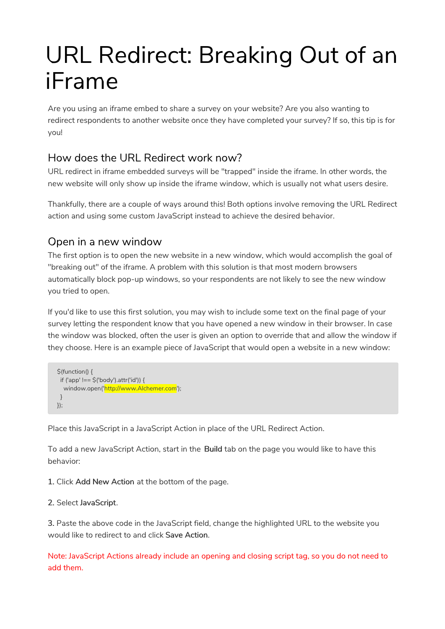# URL Redirect: Breaking Out of an iFrame

Are you using an iframe embed to share a survey on your website? Are you also wanting to redirect respondents to another website once they have completed your survey? If so, this tip is for you!

## How does the URL Redirect work now?

URL redirect in iframe embedded surveys will be "trapped" inside the iframe. In other words, the new website will only show up inside the iframe window, which is usually not what users desire.

Thankfully, there are a couple of ways around this! Both options involve removing the URL Redirect action and using some custom JavaScript instead to achieve the desired behavior.

### Open in a new window

The first option is to open the new website in a new window, which would accomplish the goal of "breaking out" of the iframe. A problem with this solution is that most modern browsers automatically block pop-up windows, so your respondents are not likely to see the new window you tried to open.

If you'd like to use this first solution, you may wish to include some text on the final page of your survey letting the respondent know that you have opened a new window in their browser. In case the window was blocked, often the user is given an option to override that and allow the window if they choose. Here is an example piece of JavaScript that would open a website in a new window:

```
$(function() {
 if ('app' !== $('body').attr('id')) {
  window.open('http://www.Alchemer.com');
 }
});
```
Place this JavaScript in a JavaScript Action in place of the URL Redirect Action.

To add a new JavaScript Action, start in the Build tab on the page you would like to have this behavior:

- 1. Click Add New Action at the bottom of the page.
- 2. Select JavaScript.

3. Paste the above code in the JavaScript field, change the highlighted URL to the website you would like to redirect to and click Save Action.

Note: JavaScript Actions already include an opening and closing script tag, so you do not need to add them.